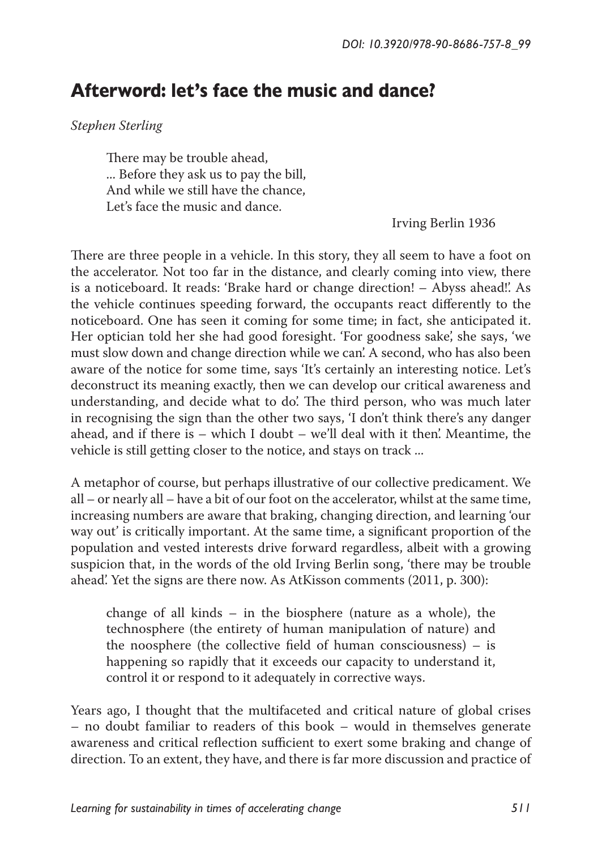## **Afterword: let's face the music and dance?**

## *Stephen Sterling*

There may be trouble ahead, ... Before they ask us to pay the bill, And while we still have the chance, Let's face the music and dance.

Irving Berlin 1936

There are three people in a vehicle. In this story, they all seem to have a foot on the accelerator. Not too far in the distance, and clearly coming into view, there is a noticeboard. It reads: 'Brake hard or change direction! – Abyss ahead!'. As the vehicle continues speeding forward, the occupants react differently to the noticeboard. One has seen it coming for some time; in fact, she anticipated it. Her optician told her she had good foresight. 'For goodness sake', she says, 'we must slow down and change direction while we can'. A second, who has also been aware of the notice for some time, says 'It's certainly an interesting notice. Let's deconstruct its meaning exactly, then we can develop our critical awareness and understanding, and decide what to do'. The third person, who was much later in recognising the sign than the other two says, 'I don't think there's any danger ahead, and if there is – which I doubt – we'll deal with it then'. Meantime, the vehicle is still getting closer to the notice, and stays on track ...

A metaphor of course, but perhaps illustrative of our collective predicament. We all – or nearly all – have a bit of our foot on the accelerator, whilst at the same time, increasing numbers are aware that braking, changing direction, and learning 'our way out' is critically important. At the same time, a significant proportion of the population and vested interests drive forward regardless, albeit with a growing suspicion that, in the words of the old Irving Berlin song, 'there may be trouble ahead'. Yet the signs are there now. As AtKisson comments (2011, p. 300):

change of all kinds – in the biosphere (nature as a whole), the technosphere (the entirety of human manipulation of nature) and the noosphere (the collective field of human consciousness) – is happening so rapidly that it exceeds our capacity to understand it, control it or respond to it adequately in corrective ways.

Years ago, I thought that the multifaceted and critical nature of global crises – no doubt familiar to readers of this book – would in themselves generate awareness and critical reflection sufficient to exert some braking and change of direction. To an extent, they have, and there is far more discussion and practice of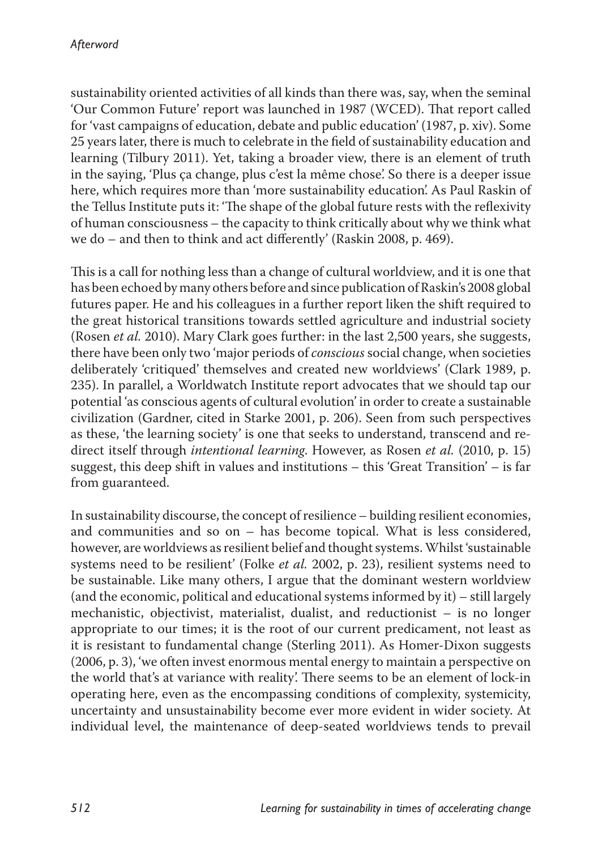sustainability oriented activities of all kinds than there was, say, when the seminal 'Our Common Future' report was launched in 1987 (WCED). That report called for 'vast campaigns of education, debate and public education' (1987, p. xiv). Some 25 years later, there is much to celebrate in the field of sustainability education and learning (Tilbury 2011). Yet, taking a broader view, there is an element of truth in the saying, 'Plus ça change, plus c'est la même chose'. So there is a deeper issue here, which requires more than 'more sustainability education'. As Paul Raskin of the Tellus Institute puts it: 'The shape of the global future rests with the reflexivity of human consciousness – the capacity to think critically about why we think what we do – and then to think and act differently' (Raskin 2008, p. 469).

This is a call for nothing less than a change of cultural worldview, and it is one that has been echoed by many others before and since publication of Raskin's 2008 global futures paper. He and his colleagues in a further report liken the shift required to the great historical transitions towards settled agriculture and industrial society (Rosen *et al.* 2010). Mary Clark goes further: in the last 2,500 years, she suggests, there have been only two 'major periods of *conscious* social change, when societies deliberately 'critiqued' themselves and created new worldviews' (Clark 1989, p. 235). In parallel, a Worldwatch Institute report advocates that we should tap our potential 'as conscious agents of cultural evolution' in order to create a sustainable civilization (Gardner, cited in Starke 2001, p. 206). Seen from such perspectives as these, 'the learning society' is one that seeks to understand, transcend and redirect itself through *intentional learning*. However, as Rosen *et al.* (2010, p. 15) suggest, this deep shift in values and institutions – this 'Great Transition' – is far from guaranteed.

In sustainability discourse, the concept of resilience – building resilient economies, and communities and so on – has become topical. What is less considered, however, are worldviews as resilient belief and thought systems. Whilst 'sustainable systems need to be resilient' (Folke *et al.* 2002, p. 23), resilient systems need to be sustainable. Like many others, I argue that the dominant western worldview (and the economic, political and educational systems informed by it) – still largely mechanistic, objectivist, materialist, dualist, and reductionist – is no longer appropriate to our times; it is the root of our current predicament, not least as it is resistant to fundamental change (Sterling 2011). As Homer-Dixon suggests (2006, p. 3), 'we often invest enormous mental energy to maintain a perspective on the world that's at variance with reality'. There seems to be an element of lock-in operating here, even as the encompassing conditions of complexity, systemicity, uncertainty and unsustainability become ever more evident in wider society. At individual level, the maintenance of deep-seated worldviews tends to prevail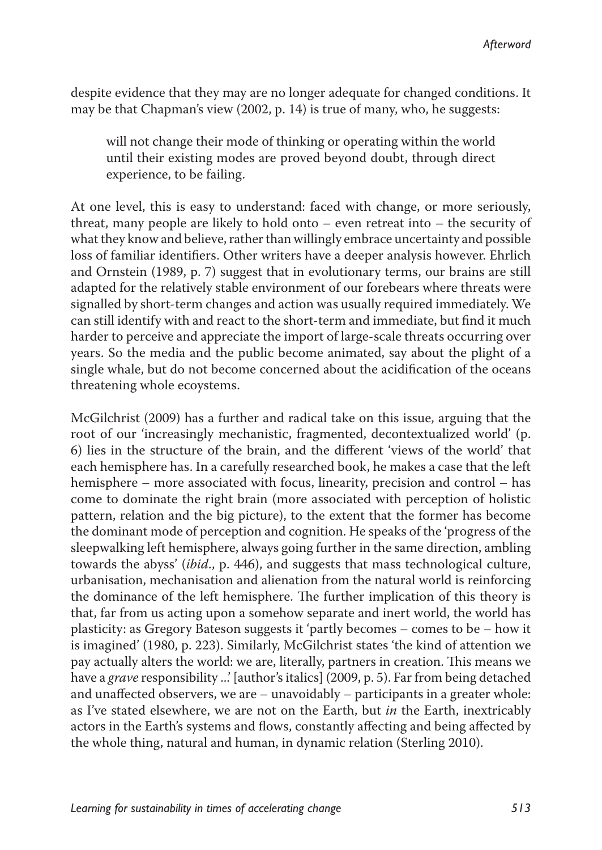despite evidence that they may are no longer adequate for changed conditions. It may be that Chapman's view (2002, p. 14) is true of many, who, he suggests:

will not change their mode of thinking or operating within the world until their existing modes are proved beyond doubt, through direct experience, to be failing.

At one level, this is easy to understand: faced with change, or more seriously, threat, many people are likely to hold onto – even retreat into – the security of what they know and believe, rather than willingly embrace uncertainty and possible loss of familiar identifiers. Other writers have a deeper analysis however. Ehrlich and Ornstein (1989, p. 7) suggest that in evolutionary terms, our brains are still adapted for the relatively stable environment of our forebears where threats were signalled by short-term changes and action was usually required immediately. We can still identify with and react to the short-term and immediate, but find it much harder to perceive and appreciate the import of large-scale threats occurring over years. So the media and the public become animated, say about the plight of a single whale, but do not become concerned about the acidification of the oceans threatening whole ecoystems.

McGilchrist (2009) has a further and radical take on this issue, arguing that the root of our 'increasingly mechanistic, fragmented, decontextualized world' (p. 6) lies in the structure of the brain, and the different 'views of the world' that each hemisphere has. In a carefully researched book, he makes a case that the left hemisphere – more associated with focus, linearity, precision and control – has come to dominate the right brain (more associated with perception of holistic pattern, relation and the big picture), to the extent that the former has become the dominant mode of perception and cognition. He speaks of the 'progress of the sleepwalking left hemisphere, always going further in the same direction, ambling towards the abyss' (*ibid*., p. 446), and suggests that mass technological culture, urbanisation, mechanisation and alienation from the natural world is reinforcing the dominance of the left hemisphere. The further implication of this theory is that, far from us acting upon a somehow separate and inert world, the world has plasticity: as Gregory Bateson suggests it 'partly becomes – comes to be – how it is imagined' (1980, p. 223). Similarly, McGilchrist states 'the kind of attention we pay actually alters the world: we are, literally, partners in creation. This means we have a *grave* responsibility ...' [author's italics] (2009, p. 5). Far from being detached and unaffected observers, we are – unavoidably – participants in a greater whole: as I've stated elsewhere, we are not on the Earth, but *in* the Earth, inextricably actors in the Earth's systems and flows, constantly affecting and being affected by the whole thing, natural and human, in dynamic relation (Sterling 2010).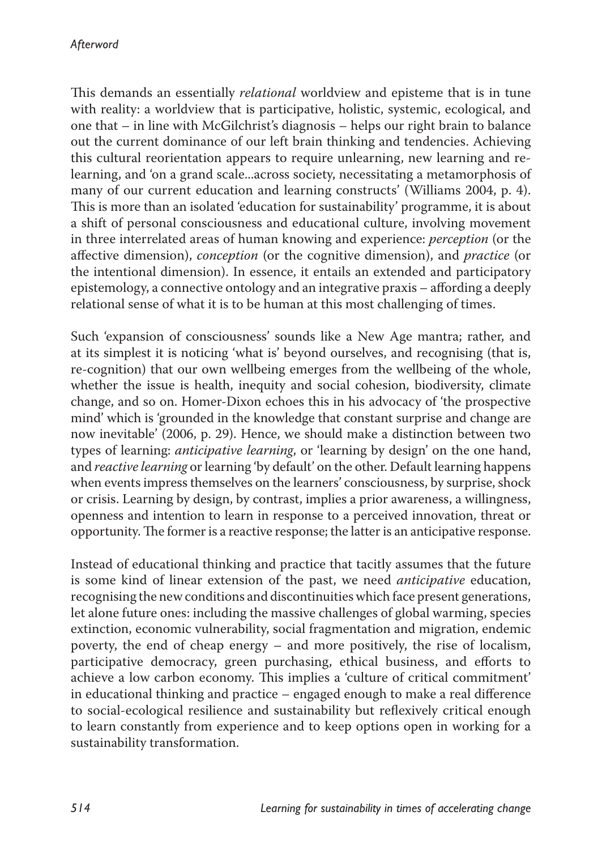Tis demands an essentially *relational* worldview and episteme that is in tune with reality: a worldview that is participative, holistic, systemic, ecological, and one that – in line with McGilchrist's diagnosis – helps our right brain to balance out the current dominance of our left brain thinking and tendencies. Achieving this cultural reorientation appears to require unlearning, new learning and relearning, and 'on a grand scale...across society, necessitating a metamorphosis of many of our current education and learning constructs' (Williams 2004, p. 4). This is more than an isolated 'education for sustainability' programme, it is about a shift of personal consciousness and educational culture, involving movement in three interrelated areas of human knowing and experience: *perception* (or the affective dimension), *conception* (or the cognitive dimension), and *practice* (or the intentional dimension). In essence, it entails an extended and participatory epistemology, a connective ontology and an integrative praxis – affording a deeply relational sense of what it is to be human at this most challenging of times.

Such 'expansion of consciousness' sounds like a New Age mantra; rather, and at its simplest it is noticing 'what is' beyond ourselves, and recognising (that is, re-cognition) that our own wellbeing emerges from the wellbeing of the whole, whether the issue is health, inequity and social cohesion, biodiversity, climate change, and so on. Homer-Dixon echoes this in his advocacy of 'the prospective mind' which is 'grounded in the knowledge that constant surprise and change are now inevitable' (2006, p. 29). Hence, we should make a distinction between two types of learning: *anticipative learning*, or 'learning by design' on the one hand, and *reactive learning* or learning 'by default' on the other. Default learning happens when events impress themselves on the learners' consciousness, by surprise, shock or crisis. Learning by design, by contrast, implies a prior awareness, a willingness, openness and intention to learn in response to a perceived innovation, threat or opportunity. The former is a reactive response; the latter is an anticipative response.

Instead of educational thinking and practice that tacitly assumes that the future is some kind of linear extension of the past, we need *anticipative* education, recognising the new conditions and discontinuities which face present generations, let alone future ones: including the massive challenges of global warming, species extinction, economic vulnerability, social fragmentation and migration, endemic poverty, the end of cheap energy – and more positively, the rise of localism, participative democracy, green purchasing, ethical business, and efforts to achieve a low carbon economy. Tis implies a 'culture of critical commitment' in educational thinking and practice – engaged enough to make a real difference to social-ecological resilience and sustainability but reflexively critical enough to learn constantly from experience and to keep options open in working for a sustainability transformation.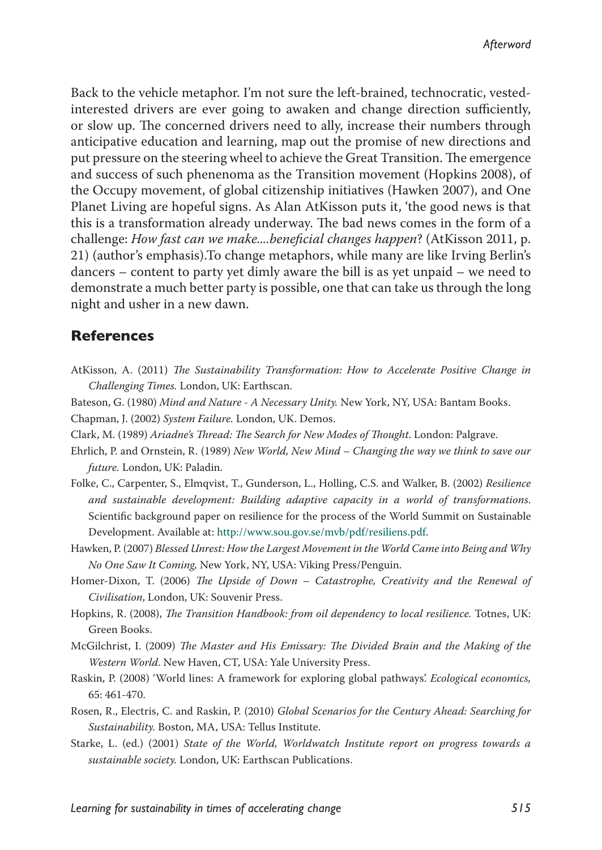Back to the vehicle metaphor. I'm not sure the left-brained, technocratic, vestedinterested drivers are ever going to awaken and change direction sufficiently, or slow up. The concerned drivers need to ally, increase their numbers through anticipative education and learning, map out the promise of new directions and put pressure on the steering wheel to achieve the Great Transition. The emergence and success of such phenenoma as the Transition movement (Hopkins 2008), of the Occupy movement, of global citizenship initiatives (Hawken 2007), and One Planet Living are hopeful signs. As Alan AtKisson puts it, 'the good news is that this is a transformation already underway. The bad news comes in the form of a challenge: *How fast can we make....beneficial changes happen*? (AtKisson 2011, p. 21) (author's emphasis).To change metaphors, while many are like Irving Berlin's dancers – content to party yet dimly aware the bill is as yet unpaid – we need to demonstrate a much better party is possible, one that can take us through the long night and usher in a new dawn.

## **References**

- AtKisson, A. (2011) T*e Sustainability Transformation: How to Accelerate Positive Change in Challenging Times.* London, UK: Earthscan.
- Bateson, G. (1980) *Mind and Nature A Necessary Unity.* New York, NY, USA: Bantam Books.
- Chapman, J. (2002) *System Failure.* London, UK. Demos.
- Clark, M. (1989) *Ariadne's* T*read:* T*e Search for New Modes of* T*ought*. London: Palgrave.
- Ehrlich, P. and Ornstein, R. (1989) *New World, New Mind Changing the way we think to save our future.* London, UK: Paladin.
- Folke, C., Carpenter, S., Elmqvist, T., Gunderson, L., Holling, C.S. and Walker, B. (2002) *Resilience and sustainable development: Building adaptive capacity in a world of transformations*. Scientific background paper on resilience for the process of the World Summit on Sustainable Development. Available at: http://www.sou.gov.se/mvb/pdf/resiliens.pdf.
- Hawken, P. (2007) *Blessed Unrest: How the Largest Movement in the World Came into Being and Why No One Saw It Coming,* New York, NY, USA: Viking Press/Penguin.
- Homer-Dixon, T. (2006) T*e Upside of Down Catastrophe, Creativity and the Renewal of Civilisation*, London, UK: Souvenir Press.
- Hopkins, R. (2008), T*e Transition Handbook: from oil dependency to local resilience.* Totnes, UK: Green Books.
- McGilchrist, I. (2009) T*e Master and His Emissary:* T*e Divided Brain and the Making of the Western World*. New Haven, CT, USA: Yale University Press.
- Raskin, P. (2008) 'World lines: A framework for exploring global pathways'. *Ecological economics,*  65: 461-470.
- Rosen, R., Electris, C. and Raskin, P. (2010) *Global Scenarios for the Century Ahead: Searching for Sustainability.* Boston, MA, USA: Tellus Institute.
- Starke, L. (ed.) (2001) *State of the World, Worldwatch Institute report on progress towards a sustainable society.* London, UK: Earthscan Publications.